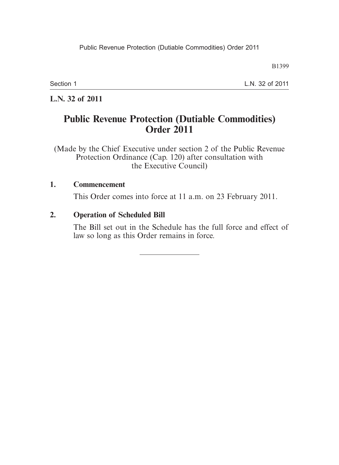B1399

Section 1

L.N. 32 of 2011

**L.N. 32 of 2011**

# **Public Revenue Protection (Dutiable Commodities) Order 2011**

(Made by the Chief Executive under section 2 of the Public Revenue Protection Ordinance (Cap. 120) after consultation with the Executive Council)

#### **1. Commencement**

This Order comes into force at 11 a.m. on 23 February 2011.

#### **2. Operation of Scheduled Bill**

The Bill set out in the Schedule has the full force and effect of law so long as this Order remains in force.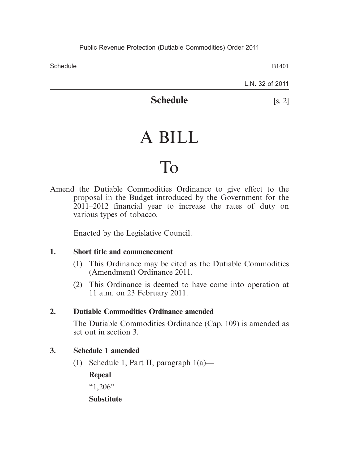**Schedule** 

B1401

L.N. 32 of 2011

# **Schedule** [s. 2]

# A BILL

# To

Amend the Dutiable Commodities Ordinance to give effect to the proposal in the Budget introduced by the Government for the 2011–2012 financial year to increase the rates of duty on various types of tobacco.

Enacted by the Legislative Council.

#### **1. Short title and commencement**

- (1) This Ordinance may be cited as the Dutiable Commodities (Amendment) Ordinance 2011.
- (2) This Ordinance is deemed to have come into operation at 11 a.m. on 23 February 2011.

#### **2. Dutiable Commodities Ordinance amended**

The Dutiable Commodities Ordinance (Cap. 109) is amended as set out in section 3.

#### **3. Schedule 1 amended**

(1) Schedule 1, Part II, paragraph 1(a)—

**Repeal**

 $\cdot$  (1.206")

#### **Substitute**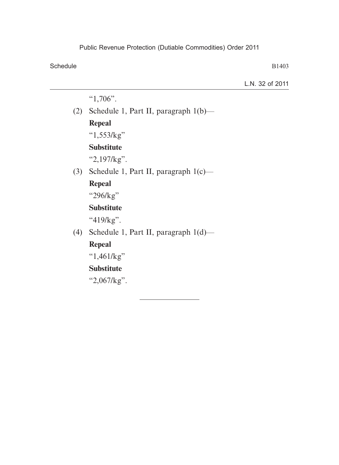Schedule

B1403

L.N. 32 of 2011

"1,706".

(2) Schedule 1, Part II, paragraph 1(b)—

## **Repeal**

"1,553/kg"

### **Substitute**

"2,197/kg".

(3) Schedule 1, Part II, paragraph 1(c)—

## **Repeal**

"296/kg"

### **Substitute**

"419/kg".

(4) Schedule 1, Part II, paragraph 1(d)—

# **Repeal**

" $1,461/kg"$ 

# **Substitute**

"2,067/kg".